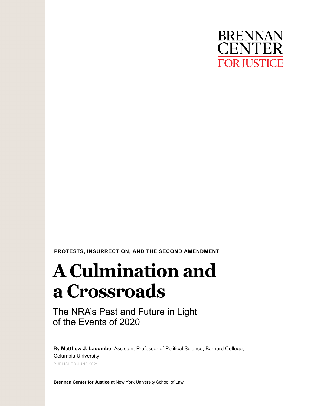

 **PROTESTS, INSURRECTION, AND THE SECOND AMENDMENT**

# **A Culmination and a Crossroads**

The NRA's Past and Future in Light of the Events of 2020

By **Matthew J. Lacombe**, Assistant Professor of Political Science, Barnard College, Columbia University

PUBLISHED JUNE 2021

**Brennan Center for Justice** at New York University School of Law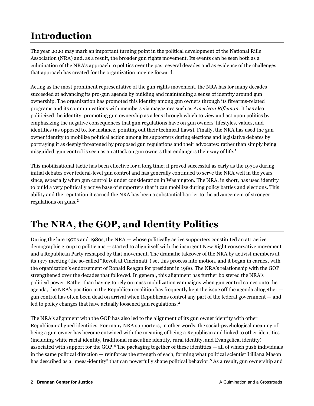## **Introduction**

The year 2020 may mark an important turning point in the political development of the National Rifle Association (NRA) and, as a result, the broader gun rights movement. Its events can be seen both as a culmination of the NRA's approach to politics over the past several decades and as evidence of the challenges that approach has created for the organization moving forward.

Acting as the most prominent representative of the gun rights movement, the NRA has for many decades succeeded at advancing its pro-gun agenda by building and maintaining a sense of identity around gun ownership. The organization has promoted this identity among gun owners through its firearms-related programs and its communications with members via magazines such as *American Rifleman*. It has also politicized the identity, promoting gun ownership as a lens through which to view and act upon politics by emphasizing the negative consequences that gun regulations have on gun owners' lifestyles, values, and identities (as opposed to, for instance, pointing out their technical flaws). Finally, the NRA has used the gun owner identity to mobilize political action among its supporters during elections and legislative debates by portraying it as deeply threatened by proposed gun regulations and their advocates: rather than simply being misguided, gun control is seen as an attack on gun owners that endangers their way of life.**[1](#page-6-0)**

This mobilizational tactic has been effective for a long time; it proved successful as early as the 1930s during initial debates over federal-level gun control and has generally continued to serve the NRA well in the years since, especially when gun control is under consideration in Washington. The NRA, in short, has used identity to build a very politically active base of supporters that it can mobilize during policy battles and elections. This ability and the reputation it earned the NRA has been a substantial barrier to the advancement of stronger regulations on guns.**[2](#page-6-1)**

### **The NRA, the GOP, and Identity Politics**

During the late 1970s and 1980s, the NRA — whose politically active supporters constituted an attractive demographic group to politicians — started to align itself with the insurgent New Right conservative movement and a Republican Party reshaped by that movement. The dramatic takeover of the NRA by activist members at its 1977 meeting (the so-called "Revolt at Cincinnati") set this process into motion, and it began in earnest with the organization's endorsement of Ronald Reagan for president in 1980. The NRA's relationship with the GOP strengthened over the decades that followed. In general, this alignment has further bolstered the NRA's political power. Rather than having to rely on mass mobilization campaigns when gun control comes onto the agenda, the NRA's position in the Republican coalition has frequently kept the issue off the agenda altogether gun control has often been dead on arrival when Republicans control any part of the federal government — and led to policy changes that have actually loosened gun regulations.**[3](#page-6-2)**

The NRA's alignment with the GOP has also led to the alignment of its gun owner identity with other Republican-aligned identities. For many NRA supporters, in other words, the social-psychological meaning of being a gun owner has become entwined with the meaning of being a Republican and linked to other identities (including white racial identity, traditional masculine identity, rural identity, and Evangelical identity) associated with support for the GOP.**[4](#page-6-3)** The packaging together of these identities — all of which push individuals in the same political direction — reinforces the strength of each, forming what political scientist Lilliana Mason has described as a "mega-identity" that can powerfully shape political behavior.**[5](#page-6-4)** As a result, gun ownership and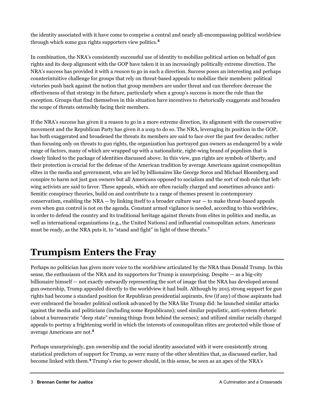the identity associated with it have come to comprise a central and nearly all-encompassing political worldview through which some gun rights supporters view politics.**[6](#page-6-5)**

In combination, the NRA's consistently successful use of identity to mobilize political action on behalf of gun rights and its deep alignment with the GOP have taken it in an increasingly politically extreme direction. The NRA's success has provided it with a *reason* to go in such a direction. Success poses an interesting and perhaps counterintuitive challenge for groups that rely on threat-based appeals to mobilize their members: political victories push back against the notion that group members are under threat and can therefore decrease the effectiveness of that strategy in the future, particularly when a group's success is more the rule than the exception. Groups that find themselves in this situation have incentives to rhetorically exaggerate and broaden the scope of threats ostensibly facing their members.

If the NRA's success has given it a reason to go in a more extreme direction, its alignment with the conservative movement and the Republican Party has given it a *way* to do so. The NRA, leveraging its position in the GOP, has both exaggerated and broadened the threats its members are said to face over the past few decades; rather than focusing only on threats to gun rights, the organization has portrayed gun owners as endangered by a wide range of factors, many of which are wrapped up with a nationalistic, right-wing brand of populism that is closely linked to the package of identities discussed above. In this view, gun rights are symbols of liberty, and their protection is crucial for the defense of the American tradition by average Americans against cosmopolitan elites in the media and government, who are led by billionaires like George Soros and Michael Bloomberg and conspire to harm not just gun owners but all Americans opposed to socialism and the sort of mob rule that leftwing activists are said to favor. These appeals, which are often racially charged and sometimes advance anti-Semitic conspiracy theories, build on and contribute to a range of themes present in contemporary conservatism, enabling the  $NRA - by$  linking itself to a broader culture war  $-$  to make threat-based appeals even when gun control is not on the agenda. Constant armed vigilance is needed, according to this worldview, in order to defend the country and its traditional heritage against threats from elites in politics and media, as well as international organizations (e.g., the United Nations) and influential cosmopolitan actors. Americans must be ready, as the NRA puts it, to "stand and fight" in light of these threats.**[7](#page-6-6)**

### **Trumpism Enters the Fray**

Perhaps no politician has given more voice to the worldview articulated by the NRA than Donald Trump. In this sense, the enthusiasm of the NRA and its supporters for Trump is unsurprising. Despite — as a big-city billionaire himself — not exactly outwardly representing the sort of image that the NRA has developed around gun ownership, Trump appealed directly to the worldview it had built. Although by 2015 strong support for gun rights had become a standard position for Republican presidential aspirants, few (if any) of those aspirants had ever embraced the broader political outlook advanced by the NRA like Trump did: he launched similar attacks against the media and politicians (including some Republicans); used similar populistic, anti-system rhetoric (about a bureaucratic "deep state" running things from behind the scenes); and utilized similar racially charged appeals to portray a frightening world in which the interests of cosmopolitan elites are protected while those of average Americans are not.**[8](#page-6-7)**

Perhaps unsurprisingly, gun ownership and the social identity associated with it were consistently strong statistical predictors of support for Trump, as were many of the other identities that, as discussed earlier, had become linked with them. **[9](#page-6-8)** Trump's rise to power should, in this sense, be seen as an apex of the NRA's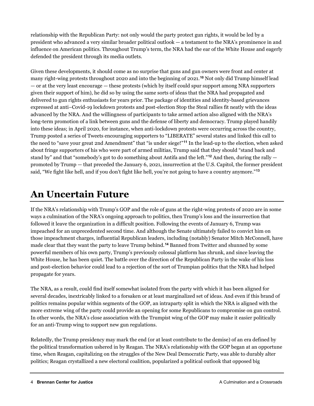relationship with the Republican Party: not only would the party protect gun rights, it would be led by a president who advanced a very similar broader political outlook — a testament to the NRA's prominence in and influence on American politics. Throughout Trump's term, the NRA had the ear of the White House and eagerly defended the president through its media outlets.

Given these developments, it should come as no surprise that guns and gun owners were front and center at many right-wing protests throughout 2020 and into the beginning of 2021.**[10](#page-6-9)** Not only did Trump himself lead — or at the very least encourage — these protests (which by itself could spur support among NRA supporters given their support of him), he did so by using the same sorts of ideas that the NRA had propagated and delivered to gun rights enthusiasts for years prior. The package of identities and identity-based grievances expressed at anti–Covid-19 lockdown protests and post-election Stop the Steal rallies fit neatly with the ideas advanced by the NRA. And the willingness of participants to take armed action also aligned with the NRA's long-term promotion of a link between guns and the defense of liberty and democracy. Trump played handily into these ideas; in April 2020, for instance, when anti-lockdown protests were occurring across the country, Trump posted a series of Tweets encouraging supporters to "LIBERATE" several states and linked this call to the need to "save your great 2nd Amendment" that "is under siege!"**[11](#page-6-10)** In the lead-up to the election, when asked about fringe supporters of his who were part of armed militias, Trump said that they should "stand back and stand by" and that "somebody's got to do something about Antifa and the left."**[12](#page-6-11)** And then, during the rally promoted by Trump — that preceded the January 6, 2021, insurrection at the U.S. Capitol, the former president said, "We fight like hell, and if you don't fight like hell, you're not going to have a country anymore."**[13](#page-6-12)**

#### **An Uncertain Future**

If the NRA's relationship with Trump's GOP and the role of guns at the right-wing protests of 2020 are in some ways a culmination of the NRA's ongoing approach to politics, then Trump's loss and the insurrection that followed it leave the organization in a difficult position. Following the events of January 6, Trump was impeached for an unprecedented second time. And although the Senate ultimately failed to convict him on those impeachment charges, influential Republican leaders, including (notably) Senator Mitch McConnell, have made clear that they want the party to leave Trump behind.**[14](#page-6-13)** Banned from Twitter and shunned by some powerful members of his own party, Trump's previously colossal platform has shrunk, and since leaving the White House, he has been quiet. The battle over the direction of the Republican Party in the wake of his loss and post-election behavior could lead to a rejection of the sort of Trumpian politics that the NRA had helped propagate for years.

The NRA, as a result, could find itself somewhat isolated from the party with which it has been aligned for several decades, inextricably linked to a forsaken or at least marginalized set of ideas. And even if this brand of politics remains popular within segments of the GOP, an intraparty split in which the NRA is aligned with the more extreme wing of the party could provide an opening for some Republicans to compromise on gun control. In other words, the NRA's close association with the Trumpist wing of the GOP may make it easier politically for an anti-Trump wing to support new gun regulations.

Relatedly, the Trump presidency may mark the end (or at least contribute to the demise) of an era defined by the political transformation ushered in by Reagan. The NRA's relationship with the GOP began at an opportune time, when Reagan, capitalizing on the struggles of the New Deal Democratic Party, was able to durably alter politics; Reagan crystallized a new electoral coalition, popularized a political outlook that opposed big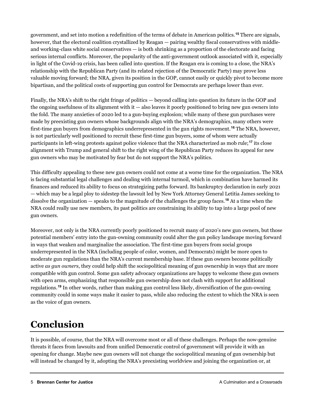government, and set into motion a redefinition of the terms of debate in American politics.**[15](#page-6-14)** There are signals, however, that the electoral coalition crystallized by Reagan — pairing wealthy fiscal conservatives with middleand working-class white social conservatives — is both shrinking as a proportion of the electorate and facing serious internal conflicts. Moreover, the popularity of the anti-government outlook associated with it, especially in light of the Covid-19 crisis, has been called into question. If the Reagan era is coming to a close, the NRA's relationship with the Republican Party (and its related rejection of the Democratic Party) may prove less valuable moving forward; the NRA, given its position in the GOP, cannot easily or quickly pivot to become more bipartisan, and the political costs of supporting gun control for Democrats are perhaps lower than ever.

Finally, the NRA's shift to the right fringe of politics — beyond calling into question its future in the GOP and the ongoing usefulness of its alignment with it — also leaves it poorly positioned to bring new gun owners into the fold. The many anxieties of 2020 led to a gun-buying explosion; while many of these gun purchases were made by preexisting gun owners whose backgrounds align with the NRA's demographics, many others were first-time gun buyers from demographics underrepresented in the gun rights movement.**[16](#page-6-15)** The NRA, however, is not particularly well positioned to recruit these first-time gun buyers, some of whom were actually participants in left-wing protests against police violence that the NRA characterized as mob rule;**[17](#page-6-16)** its close alignment with Trump and general shift to the right wing of the Republican Party reduces its appeal for new gun owners who may be motivated by fear but do not support the NRA's politics.

This difficulty appealing to these new gun owners could not come at a worse time for the organization. The NRA is facing substantial legal challenges and dealing with internal turmoil, which in combination have harmed its finances and reduced its ability to focus on strategizing paths forward. Its bankruptcy declaration in early 2021 — which may be a legal ploy to sidestep the lawsuit led by New York Attorney General Letitia James seeking to dissolve the organization — speaks to the magnitude of the challenges the group faces.**[18](#page-7-0)** At a time when the NRA could really use new members, its past politics are constraining its ability to tap into a large pool of new gun owners.

Moreover, not only is the NRA currently poorly positioned to recruit many of 2020's new gun owners, but those potential members' entry into the gun-owning community could alter the gun policy landscape moving forward in ways that weaken and marginalize the association. The first-time gun buyers from social groups underrepresented in the NRA (including people of color, women, and Democrats) might be more open to moderate gun regulations than the NRA's current membership base. If these gun owners become politically active *as gun owners*, they could help shift the sociopolitical meaning of gun ownership in ways that are more compatible with gun control. Some gun safety advocacy organizations are happy to welcome these gun owners with open arms, emphasizing that responsible gun ownership does not clash with support for additional regulations.**[19](#page-7-1)** In other words, rather than making gun control less likely, diversification of the gun-owning community could in some ways make it easier to pass, while also reducing the extent to which the NRA is seen as the voice of gun owners.

#### **Conclusion**

It is possible, of course, that the NRA will overcome most or all of these challenges. Perhaps the now-genuine threats it faces from lawsuits and from unified Democratic control of government will provide it with an opening for change. Maybe new gun owners will not change the sociopolitical meaning of gun ownership but will instead be changed by it, adopting the NRA's preexisting worldview and joining the organization or, at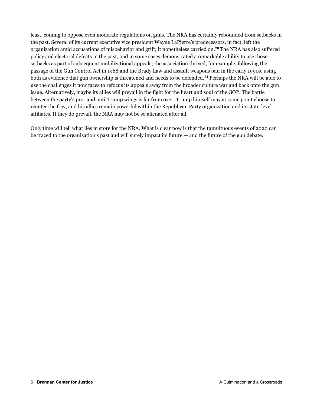least, coming to oppose even moderate regulations on guns. The NRA has certainly rebounded from setbacks in the past. Several of its current executive vice president Wayne LaPierre's predecessors, in fact, left the organization amid accusations of misbehavior and grift; it nonetheless carried on.**[20](#page-7-2)** The NRA has also suffered policy and electoral defeats in the past, and in some cases demonstrated a remarkable ability to use those setbacks as part of subsequent mobilizational appeals; the association thrived, for example, following the passage of the Gun Control Act in 1968 and the Brady Law and assault weapons ban in the early 1990s, using both as evidence that gun ownership is threatened and needs to be defended.**[21](#page-7-3)** Perhaps the NRA will be able to use the challenges it now faces to refocus its appeals away from the broader culture war and back onto the gun issue. Alternatively, maybe its allies will prevail in the fight for the heart and soul of the GOP. The battle between the party's pro- and anti-Trump wings is far from over; Trump himself may at some point choose to reenter the fray, and his allies remain powerful within the Republican Party organization and its state-level affiliates. If they do prevail, the NRA may not be so alienated after all.

Only time will tell what lies in store for the NRA. What is clear now is that the tumultuous events of 2020 can be traced to the organization's past and will surely impact its future — and the future of the gun debate.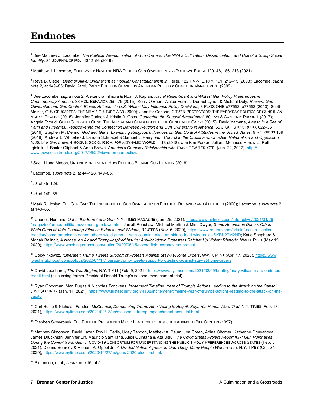#### **Endnotes**

<span id="page-6-0"></span>**<sup>1</sup>** *See* Matthew J. Lacombe, *The Political Weaponization of Gun Owners: The NRA's Cultivation, Dissemination, and Use of a Group Social Identity,* 81 JOURNAL OF POL. 1342–56 (2019).

<span id="page-6-1"></span>**<sup>2</sup>** Matthew J. Lacombe, FIREPOWER: HOW THE NRA TURNED GUN OWNERS INTO A POLITICAL FORCE 129–48, 186–218 (2021).

<span id="page-6-2"></span>**<sup>3</sup>** Reva B. Siegel, *Dead or Alive: Originalism as Popular Constitutionalism in* Heller, 122 HARV. L. REV. 191, 212–15 (2008); Lacombe, *supra*  note 2, at 149–85; David Karol, PARTY POSITION CHANGE IN AMERICAN POLITICS: COALITION MANAGEMENT (2009).

<span id="page-6-3"></span>**<sup>4</sup>** *See* Lacombe, *supra* note 2; Alexandra Filindra & Noah J. Kaplan, *Racial Resentment and Whites' Gun Policy Preferences in Contemporary America*, 38 POL. BEHAVIOR 255–75 (2015); Kerry O'Brien, Walter Forrest, Dermot Lynott & Michael Daly, *Racism, Gun Ownership and Gun Control: Biased Attitudes in U.S. Whites May Influence Policy Decisions*, 8 PLOS ONE e77552–e77552 (2013); Scott Melzer, GUN CRUSADERS: THE NRA'S CULTURE WAR (2009); Jennifer Carlson, CITIZEN-PROTECTORS: THE EVERYDAY POLITICS OF GUNS IN AN AGE OF DECLINE (2015); Jennifer Carlson & Kristin A. Goss, *Gendering the Second Amendment*, 80 LAW & CONTEMP. PROBS 1 (2017); Angela Stroud, GOOD GUYS WITH GUNS: THE APPEAL AND CONSEQUENCES OF CONCEALED CARRY (2015); David Yamane, *Awash in a Sea of Faith and Firearms: Rediscovering the Connection Between Religion and Gun Ownership in America*, 55 J. SCI. STUD. RELIG. 622–36 (2016); Stephen M. Merino, *God and Guns: Examining Religious Influences on Gun Control Attitudes in the United States*, 9 RELIGIONS 189 (2018); Andrew L. Whitehead, Landon Schnabel & Samuel L. Perry, *Gun Control in the Crosshairs: Christian Nationalism and Opposition to Stricter Gun Laws*, 4 SOCIUS: SOCIO. RSCH. FOR A DYNAMIC WORLD 1–13 (2018); *and* Kim Parker, Juliana Menasce Horowitz, Ruth Igielnik, J. Baxter Oliphant & Anna Brown, *America's Complex Relationship with Guns*, PEW RES. CTR. (Jun. 22, 2017)[, http://](http://www.pewsocialtrends.org/2017/06/22/views-on-gun-policy) [www.pewsocialtrends.org/2017/06/22/views-on-gun-policy.](http://www.pewsocialtrends.org/2017/06/22/views-on-gun-policy)

<span id="page-6-4"></span>**<sup>5</sup>** *See* Lilliana Mason, UNCIVIL AGREEMENT: HOW POLITICS BECAME OUR IDENTITY (2018).

<span id="page-6-5"></span>**<sup>6</sup>** Lacombe, *supra* note 2, at 44–128, 149–85.

<span id="page-6-6"></span>**<sup>7</sup>** *Id.* at 85–128.

<span id="page-6-7"></span>**<sup>8</sup>** *Id*. at 149–85.

<span id="page-6-8"></span>**<sup>9</sup>** Mark R. Joslyn, THE GUN GAP: THE INFLUENCE OF GUN OWNERSHIP ON POLITICAL BEHAVIOR AND ATTITUDES (2020); Lacombe, *supra* note 2, at 149–85.

<span id="page-6-9"></span>**<sup>10</sup>** Charles Homans, *Out of the Barrel of a Gun*, N.Y. TIMES MAGAZINE (Jan. 26, 2021)[, https://www.nytimes.com/interactive/2021/01/26](https://www.nytimes.com/interactive/2021/01/26/magazine/armed-militia-movement-gun-laws.html) [/magazine/armed-militia-movement-gun-laws.html;](https://www.nytimes.com/interactive/2021/01/26/magazine/armed-militia-movement-gun-laws.html) Jarrett Renshaw, Michael Martina & Mimi Dwyer, *Some Americans Dance, Others Wield Guns at Vote-Counting Sites as Biden's Lead Widens*, REUTERS (Nov. 6, 2020)[, https://www.reuters.com/article/us-usa-election](https://www.reuters.com/article/us-usa-election-reaction/some-americans-dance-others-wield-guns-at-vote-counting-sites-as-bidens-lead-widens-idUSKBN27M2ND)[reaction/some-americans-dance-others-wield-guns-at-vote-counting-sites-as-bidens-lead-widens-idUSKBN27M2ND;](https://www.reuters.com/article/us-usa-election-reaction/some-americans-dance-others-wield-guns-at-vote-counting-sites-as-bidens-lead-widens-idUSKBN27M2ND) Katie Shepherd & Moriah Balingit, *A Noose, an Ax and Trump-Inspired Insults: Anti-lockdown Protesters Ratchet Up Violent Rhetoric,* WASH. POST (May 15, 2020)[, https://www.washingtonpost.com/nation/2020/05/15/noose-fight-coronavirus-protest.](https://www.washingtonpost.com/nation/2020/05/15/noose-fight-coronavirus-protest/)

<span id="page-6-10"></span>**<sup>11</sup>** Colby Itkowitz, *"Liberate": Trump Tweets Support of Protests Against Stay-At-Home Orders*, WASH. POST (Apr. 17, 2020), [https://www](https://www.washingtonpost.com/politics/2020/04/17/liberate-trump-tweets-support-protesting-against-stay-at-home-orders) [.washingtonpost.com/politics/2020/04/17/liberate-trump-tweets-support-protesting-against-stay-at-home-orders.](https://www.washingtonpost.com/politics/2020/04/17/liberate-trump-tweets-support-protesting-against-stay-at-home-orders)

<span id="page-6-11"></span>**<sup>12</sup>** David Leonhardt, *The Trial Begins*, N.Y. TIMES (Feb. 9, 2021)[, https://www.nytimes.com/2021/02/09/briefing/mary-wilson-mars-emirates](https://www.nytimes.com/2021/02/09/briefing/mary-wilson-mars-emirates-reddit.html)[reddit.html](https://www.nytimes.com/2021/02/09/briefing/mary-wilson-mars-emirates-reddit.html) (discussing former President Donald Trump's second impeachment trial).

<span id="page-6-12"></span>**<sup>13</sup>** Ryan Goodman, Mari Dugas & Nicholas Tonckens, *Incitement Timeline: Year of Trump's Actions Leading to the Attack on the Capitol*, JUST SECURITY (Jan. 11, 2021), [https://www.justsecurity.org/74138/incitement-timeline-year-of-trumps-actions-leading-to-the-attack-on-the](https://www.justsecurity.org/74138/incitement-timeline-year-of-trumps-actions-leading-to-the-attack-on-the-capitol/)[capitol.](https://www.justsecurity.org/74138/incitement-timeline-year-of-trumps-actions-leading-to-the-attack-on-the-capitol/)

<span id="page-6-13"></span>**<sup>14</sup>** Carl Hulse & Nicholas Fandos, *McConnell, Denouncing Trump After Voting to Acquit, Says His Hands Were Tied*, N.Y. TIMES (Feb. 13, 2021)[, https://www.nytimes.com/2021/02/13/us/mcconnell-trump-impeachment-acquittal.html.](https://www.nytimes.com/2021/02/13/us/mcconnell-trump-impeachment-acquittal.html)

<span id="page-6-14"></span>**<sup>15</sup>** Stephen Skowronek, THE POLITICS PRESIDENTS MAKE: LEADERSHIP FROM JOHN ADAMS TO BILL CLINTON (1997).

<span id="page-6-15"></span>**<sup>16</sup>** Matthew Simonson, David Lazer, Roy H. Perlis, Uday Tandon, Matthew A. Baum, Jon Green, Adina Gitomer, Katherine Ognyanova, James Druckman, Jennifer Lin, Mauricio Santillana, Alexi Quintana & Ata Uslu, *The Covid States Project Report #37: Gun Purchases During the Covid-19 Pandemic*, COVID-19 CONSORTIUM FOR UNDERSTANDING THE PUBLIC'S POL'Y PREFERENCES ACROSS STATES (Feb. 5, 2021); Dionne Searcey & Richard A. Oppel Jr., *A Divided Nation Agrees on One Thing: Many People Want a Gun*, N.Y. TIMES (Oct. 27, 2020)[, https://www.nytimes.com/2020/10/27/us/guns-2020-election.html.](https://www.nytimes.com/2020/10/27/us/guns-2020-election.html) 

<span id="page-6-16"></span>**<sup>17</sup>** Simonson, et al., *supra* note 16, at 5.